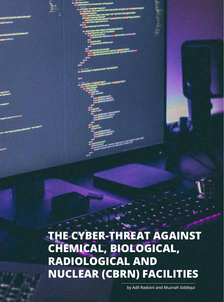

**104**

The cyber-threat against chemical, biological, radiological and nuclear (CBRN) facilities

by Adil Radoini and Muznah Siddiqui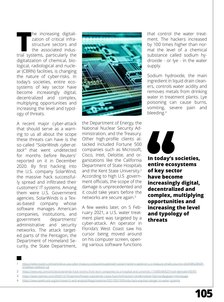The increasing digitalization of critical infrastructure sectors and the associated industrial systems, particularly the he increasing digitalization of critical infrastructure sectors and the associated indusdigitalization of chemical, biological, radiological and nuclear (CBRN) facilities, is changing the nature of cyber-risks. In today's societies, entire ecosystems of key sector have become increasingly digital, decentralized and complex, multiplying opportunities and increasing the level and typology of threats.

A recent major cyber-attack that should serve as a warning to us all about the scope these threats can have is the so-called "*SolarWinds cyber-attack" t*hat went undetected for months before Reuters<sup>1</sup> reported on it in December 2020. By first hacking into the U.S. company SolarWind, the massive hack successfully spread and infiltrated their customers' IT systems. Among them were U.S. Government agencies. SolarWinds is a Texas-based company whose software manages American companies, institutions, and government departments' administrative and security networks. The attack targeted parts of the Pentagon, the Department of Homeland Security, the State Department,



the Department of Energy, the National Nuclear Security Administration, and the Treasury. Other high-profile clients attacked included Fortune 500 companies such as Microsoft, Cisco, Intel, Deloitte, and organizations like the California Department of State Hospitals and the Kent State University.2 According to high U.S .government officials, the scope of the damage is unprecedented and it could take years before the networks are secure again.3

A few weeks later, on 5 February 2021, a U.S. water treatment plant was targeted by a cyber-attack. An operator in Florida's West Coast saw his cursor being moved around on his computer screen, opening various software functions that control the water treatment. The hackers increased by 100 times higher than normal the level of a chemical substance called sodium hydroxide - or lye - in the water supply.

Sodium hydroxide, the main ingredient in liquid drain cleaners, controls water acidity and removes metals from drinking water in treatment plants. Lye poisoning can cause burns, vomiting, severe pain and bleeding.4

**In today's societies, entire ecosystems of key sector have become increasingly digital, decentralized and complex, multiplying opportunities and increasing the level and typology of threats**

- 2 <https://www.wsj.com/articles/solarwinds-hack-victims-from-tech-companies-to-a-hospital-and-university-11608548402?mod=djemalertNEWS>
- 3 <https://www.nytimes.com/2020/12/16/opinion/fireeye-solarwinds-russia-hack.html?action=click&module=Opinion&pgtype=Homepage>
- 4 <https://www.pewtrusts.org/en/research-and-analysis/blogs/stateline/2021/03/10/florida-hack-exposes-danger-to-water-systems>

<sup>1</sup> https://www.reuters.com/article/us-usa-cyber-treasury-exclsuive/suspected-russian-hackers-spied-on-u-s-treasury-emails-sources-idUKKBN28N0P-G?edition-redirect=uk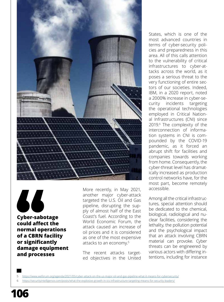

46 **Cyber-sabotage could affect the normal operations of a CBRN facility or significantly damage equipment and processes**

More recently, in May 2021, another major cyber-attack targeted the U.S. Oil and Gas pipeline, disrupting the supply of almost half of the East Coast's fuel. According to the World Economic Forum, the attack caused an increase of oil prices and it is considered as one of the most expensive attacks to an economy.<sup>5</sup>

The recent attacks targeted objectives in the United

States, which is one of the most advanced countries in terms of cyber-security policies and preparedness in this area. All of this calls attention to the vulnerability of critical infrastructures to cyber-attacks across the world, as it poses a serious threat to the very functioning of entire sectors of our societies. Indeed, IBM, in a 2020 report, noted a 2000% increase in cyber-security incidents targeting the operational technologies employed in Critical National Infrastructures (CNI) since 2019.6 The complexity of the interconnection of information systems in CNI is compounded by the COVID-19 pandemic, as it forced an abrupt shift for facilities and companies towards working from home. Consequently, the cyber-threat level has dramatically increased as production control networks have, for the most part, become remotely accessible.

Among all the critical infrastructures, special attention should be dedicated to the chemical, biological, radiological and nuclear facilities, considering the lethality, the pollution potential and the psychological impact that an attack involving CBRN material can provoke. Cyber threats can be engineered by various actors with differing intentions, including for instance

5 https://www.weforum.org/agenda/2021/05/cyber-attack-on-the-us-major-oil-and-gas-pipeline-what-it-means-for-cybersecurity/

6 <https://securityintelligence.com/posts/what-the-explosive-growth-in-ics-infrastructure-targeting-means-for-security-leaders/>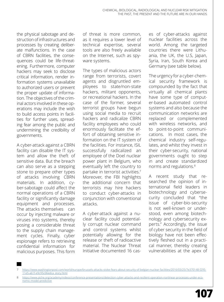the physical sabotage and destruction of infrastructures and processes by creating deliberate malfunctions. In the case of CBRN facilities, the consequences could be life-threatening. Furthermore, computer hackers may seek to disclose critical information, render information systems unavailable to authorized users or prevent the proper update of information. The objectives of the criminal actors involved in these operations may include the wish to build access points in facilities for further uses, spreading fear among the public and undermining the credibility of governments.

A cyber-attack against a CBRN facility can disable the IT system and allow the theft of sensitive data. But the breach can also serve as a stepping stone to prepare other types of attacks involving CBRN materials. In addition, cyber-sabotage could affect the normal operations of a CBRN facility or significantly damage equipment and processes. The attacks themselves can occur by injecting malware or viruses into systems, thereby posing a considerable threat to the supply chain management cycles. Finally, cyber espionage refers to retrieving confidential information for malicious purposes. This form

of threat is more common, as it requires a lower level of technical expertise, several tools are also freely available on the Internet, such as spyware systems.

The types of malicious actors range from terrorists, covert agents and disgruntled employees to state/non-state hackers, militant opponents, or recreational hackers. In the case of the former, several terrorist groups have begun using social media to recruit hackers and radicalize CBRN facility employees who could enormously facilitate the effort of obtaining sensitive information on the IT system of the facilities. For instance, ISIL successfully radicalized an employee of the Doel nuclear power plant in Belgium, who eventually left the country to partake in terrorist activities.<sup>7</sup> Moreover, the FBI highlights the additional concern that terrorists may hire hackers to conduct cyber-attacks in conjunction with conventional attacks.

A cyber-attack against a nuclear facility could potentially corrupt nuclear command and control systems whilst potentially allowing for the release or theft of radioactive material. The Nuclear Threat Initiative documented 16 cases of cyber-attacks against nuclear facilities across the world. Among the targeted countries there were Lithuania, the UK, the U.S, Japan, Syria, Iran, South Korea and Germany (see table below).

The urgency for a cyber-chemical security framework is compounded by the fact that virtually all chemical plants have some type of computer-based automated control systems and also because the communication networks are replaced or complemented with wireless networks, and to point-to-point communications. In most cases, the chemical industry self-regulates, and whilst they invest in their cyber-security, national governments ought to step in and create standardized norms and regulations.8

A recent study that researched the opinion of international field leaders in biotechnology and cybersecurity concluded that "the issue of cyber-bio-security is not well-known or understood, even among biotechnology and cybersecurity experts." Accordingly, the issue of cyber security in the field of biology have not been effectively fleshed out in a practical manner, thereby creating vulnerabilities at the apex of

<sup>7</sup> https://www.washingtonpost.com/world/europe/brussels-attacks-stoke-fears-about-security-of-belgian-nuclear-facilities/2016/03/25/7e370148-f295- 11e5-a61f-e9c95c06edca\_story.html

https://www.aiche.org/academy/videos/conference-presentations/detection-cyber-attacks-and-resilient-operation-nonlinear-processes-under [nomic-model-predictive](https://www.aiche.org/academy/videos/conference-presentations/detection-cyber-attacks-and-resilient-operation-nonlinear-processes-under-economic-model-predictive)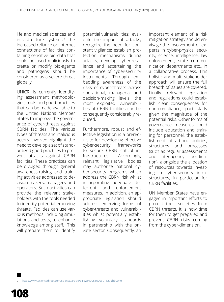life and medical sciences and infrastructure systems.9 The increased reliance on Internet connections of facilities containing sensitive bio-data that could be used maliciously to create or modify bio-agents and pathogens should be considered as a severe threat globally.

UNICRI is currently identifying assessment methodologies, tools and good practices that can be made available to the United Nations Member States to improve the governance of cyber-threats against CBRN facilities. The various types of threats and malicious actors involved highlight the need to develop a set of standardized good practices to prevent attacks against CBRN facilities. These practices can be divulged through general awareness-raising and training activities addressed to decision-makers, managers and operators. Such activities can provide the relevant stakeholders with the tools needed to identify potential emerging threats. Facilities can use various methods, including simulations and tests, to enhance knowledge among staff. This will prepare them to identify

potential vulnerabilities; evaluate the impact of attacks; recognize the need for constant vigilance; establish protection mechanisms during attacks; develop cyber-resilience and ascertaining the importance of cyber-security instruments. Through embedding awareness of the risks of cyber-threats across operational, managerial and decision-making levels, the most exploited vulnerabilities of CBRN facilities can be consequently considerably reduced.

Furthermore, robust and effective legislation is a prerequisite for developing effective cyber-security frameworks to secure CBRN critical infrastructures. Accordingly, relevant legislative bodies may authorize national cyber-security programs which address the CBRN risk whilst incorporating adequate deterrent and enforcement measures. In addition, an appropriate legislation should address emerging forms of cyber-threats and vulnerabilities whilst potentially establishing voluntary standards in partnership with the private sector. Consequently, an

important element of a risk mitigation strategy should envisage the involvement of experts in cyber-physical security, science, intelligence, law enforcement, state communication departments etc., in a collaborative process. This holistic and multi-stakeholder approach will ensure the full breadth of issues are covered. Finally, relevant legislation and regulations could establish clear consequences for non-compliance, particularly given the magnitude of the potential risks. Other forms of governance measures could include education and training for personnel, the establishment of ad-hoc policies, structures and processes (such as regular assessments and inter-agency coordination), alongside the allocation of resources towards investing in cyber-security infrastructures, in particular for CBRN facilities.

UN Member States have engaged in important efforts to protect their societies from CBRN threats. It is now time for them to get prepared and prevent CBRN risks coming from the cyber-dimension.

9 https://www.sciencedirect.com/science/article/pii/S2590053620301129#bb0040